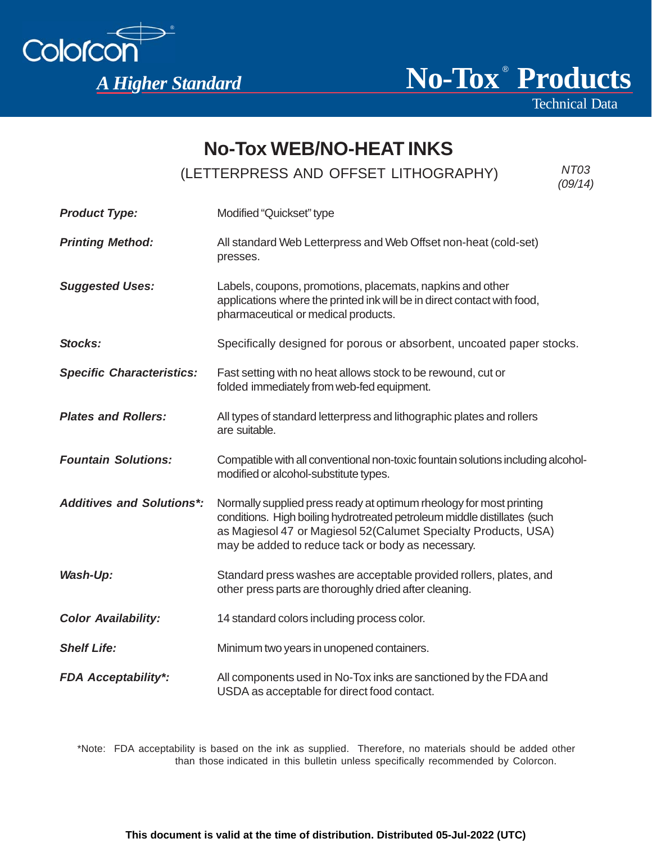



Technical Data

# **No-Tox WEB/NO-HEAT INKS**

(LETTERPRESS AND OFFSET LITHOGRAPHY) *NT03* 

*(09/14)*

| <b>Product Type:</b>             | Modified "Quickset" type                                                                                                                                                                                                                                               |
|----------------------------------|------------------------------------------------------------------------------------------------------------------------------------------------------------------------------------------------------------------------------------------------------------------------|
| <b>Printing Method:</b>          | All standard Web Letterpress and Web Offset non-heat (cold-set)<br>presses.                                                                                                                                                                                            |
| <b>Suggested Uses:</b>           | Labels, coupons, promotions, placemats, napkins and other<br>applications where the printed ink will be in direct contact with food,<br>pharmaceutical or medical products.                                                                                            |
| Stocks:                          | Specifically designed for porous or absorbent, uncoated paper stocks.                                                                                                                                                                                                  |
| <b>Specific Characteristics:</b> | Fast setting with no heat allows stock to be rewound, cut or<br>folded immediately from web-fed equipment.                                                                                                                                                             |
| <b>Plates and Rollers:</b>       | All types of standard letterpress and lithographic plates and rollers<br>are suitable.                                                                                                                                                                                 |
| <b>Fountain Solutions:</b>       | Compatible with all conventional non-toxic fountain solutions including alcohol-<br>modified or alcohol-substitute types.                                                                                                                                              |
| <b>Additives and Solutions*:</b> | Normally supplied press ready at optimum rheology for most printing<br>conditions. High boiling hydrotreated petroleum middle distillates (such<br>as Magiesol 47 or Magiesol 52(Calumet Specialty Products, USA)<br>may be added to reduce tack or body as necessary. |
| Wash-Up:                         | Standard press washes are acceptable provided rollers, plates, and<br>other press parts are thoroughly dried after cleaning.                                                                                                                                           |
| <b>Color Availability:</b>       | 14 standard colors including process color.                                                                                                                                                                                                                            |
| <b>Shelf Life:</b>               | Minimum two years in unopened containers.                                                                                                                                                                                                                              |
| <b>FDA Acceptability*:</b>       | All components used in No-Tox inks are sanctioned by the FDA and<br>USDA as acceptable for direct food contact.                                                                                                                                                        |

\*Note: FDA acceptability is based on the ink as supplied. Therefore, no materials should be added other than those indicated in this bulletin unless specifically recommended by Colorcon.

**This document is valid at the time of distribution. Distributed 05-Jul-2022 (UTC)**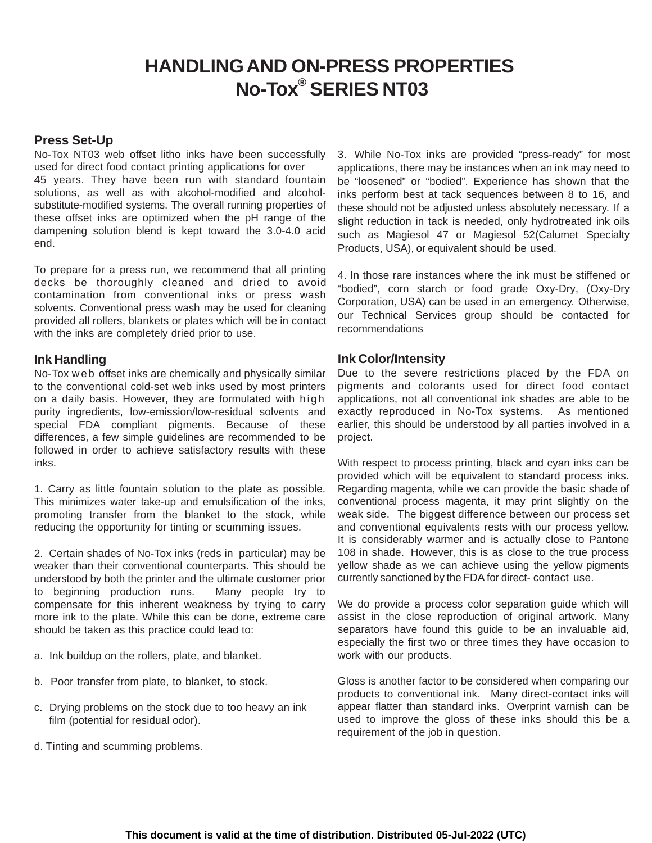## **HANDLING AND ON-PRESS PROPERTIES No-Tox® SERIES NT03**

### **Press Set-Up**

No-Tox NT03 web offset litho inks have been successfully used for direct food contact printing applications for over 45 years. They have been run with standard fountain solutions, as well as with alcohol-modified and alcoholsubstitute-modified systems. The overall running properties of these offset inks are optimized when the pH range of the dampening solution blend is kept toward the 3.0-4.0 acid end.

To prepare for a press run, we recommend that all printing decks be thoroughly cleaned and dried to avoid contamination from conventional inks or press wash solvents. Conventional press wash may be used for cleaning provided all rollers, blankets or plates which will be in contact with the inks are completely dried prior to use.

#### **Ink Handling**

No-Tox w eb offset inks are chemically and physically similar to the conventional cold-set web inks used by most printers on a daily basis. However, they are formulated with high purity ingredients, low-emission/low-residual solvents and special FDA compliant pigments. Because of these differences, a few simple guidelines are recommended to be followed in order to achieve satisfactory results with these inks.

1. Carry as little fountain solution to the plate as possible. This minimizes water take-up and emulsification of the inks, promoting transfer from the blanket to the stock, while reducing the opportunity for tinting or scumming issues.

2. Certain shades of No-Tox inks (reds in particular) may be weaker than their conventional counterparts. This should be understood by both the printer and the ultimate customer prior to beginning production runs. Many people try to compensate for this inherent weakness by trying to carry more ink to the plate. While this can be done, extreme care should be taken as this practice could lead to:

- a. Ink buildup on the rollers, plate, and blanket.
- b. Poor transfer from plate, to blanket, to stock.
- c. Drying problems on the stock due to too heavy an ink film (potential for residual odor).
- d. Tinting and scumming problems.

3. While No-Tox inks are provided "press-ready" for most applications, there may be instances when an ink may need to be "loosened" or "bodied". Experience has shown that the inks perform best at tack sequences between 8 to 16, and these should not be adjusted unless absolutely necessary. If a slight reduction in tack is needed, only hydrotreated ink oils such as Magiesol 47 or Magiesol 52(Calumet Specialty Products, USA), or equivalent should be used.

4. In those rare instances where the ink must be stiffened or "bodied", corn starch or food grade Oxy-Dry, (Oxy-Dry Corporation, USA) can be used in an emergency. Otherwise, our Technical Services group should be contacted for recommendations

#### **Ink Color/Intensity**

Due to the severe restrictions placed by the FDA on pigments and colorants used for direct food contact applications, not all conventional ink shades are able to be exactly reproduced in No-Tox systems. As mentioned earlier, this should be understood by all parties involved in a project.

With respect to process printing, black and cyan inks can be provided which will be equivalent to standard process inks. Regarding magenta, while we can provide the basic shade of conventional process magenta, it may print slightly on the weak side. The biggest difference between our process set and conventional equivalents rests with our process yellow. It is considerably warmer and is actually close to Pantone 108 in shade. However, this is as close to the true process yellow shade as we can achieve using the yellow pigments currently sanctioned by the FDA for direct- contact use.

We do provide a process color separation guide which will assist in the close reproduction of original artwork. Many separators have found this guide to be an invaluable aid, especially the first two or three times they have occasion to work with our products.

Gloss is another factor to be considered when comparing our products to conventional ink. Many direct-contact inks will appear flatter than standard inks. Overprint varnish can be used to improve the gloss of these inks should this be a requirement of the job in question.